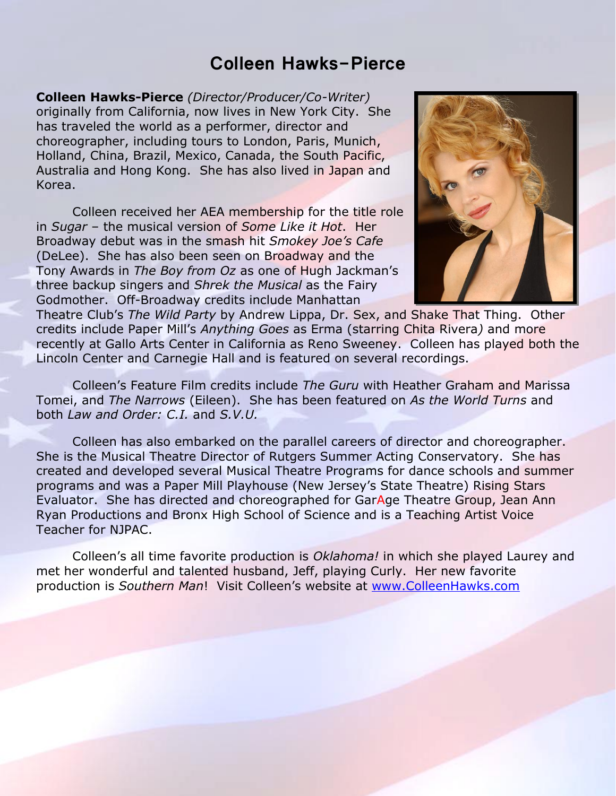# **Colleen Hawks-Pierce**

**Colleen Hawks-Pierce** *(Director/Producer/Co-Writer)* originally from California, now lives in New York City. She has traveled the world as a performer, director and choreographer, including tours to London, Paris, Munich, Holland, China, Brazil, Mexico, Canada, the South Pacific, Australia and Hong Kong. She has also lived in Japan and Korea.

Colleen received her AEA membership for the title role in *Sugar* – the musical version of *Some Like it Hot*. Her Broadway debut was in the smash hit *Smokey Joe's Cafe* (DeLee). She has also been seen on Broadway and the Tony Awards in *The Boy from Oz* as one of Hugh Jackman's three backup singers and *Shrek the Musical* as the Fairy Godmother. Off-Broadway credits include Manhattan



Theatre Club's *The Wild Party* by Andrew Lippa, Dr. Sex, and Shake That Thing. Other credits include Paper Mill's *Anything Goes* as Erma (starring Chita Rivera*)* and more recently at Gallo Arts Center in California as Reno Sweeney. Colleen has played both the Lincoln Center and Carnegie Hall and is featured on several recordings.

Colleen's Feature Film credits include *The Guru* with Heather Graham and Marissa Tomei, and *The Narrows* (Eileen). She has been featured on *As the World Turns* and both *Law and Order: C.I.* and *S.V.U.*

Colleen has also embarked on the parallel careers of director and choreographer. She is the Musical Theatre Director of Rutgers Summer Acting Conservatory. She has created and developed several Musical Theatre Programs for dance schools and summer programs and was a Paper Mill Playhouse (New Jersey's State Theatre) Rising Stars Evaluator. She has directed and choreographed for GarAge Theatre Group, Jean Ann Ryan Productions and Bronx High School of Science and is a Teaching Artist Voice Teacher for NJPAC.

Colleen's all time favorite production is *Oklahoma!* in which she played Laurey and met her wonderful and talented husband, Jeff, playing Curly. Her new favorite production is *Southern Man*! Visit Colleen's website at [www.ColleenHawks.com](http://www.colleenhawks.com/)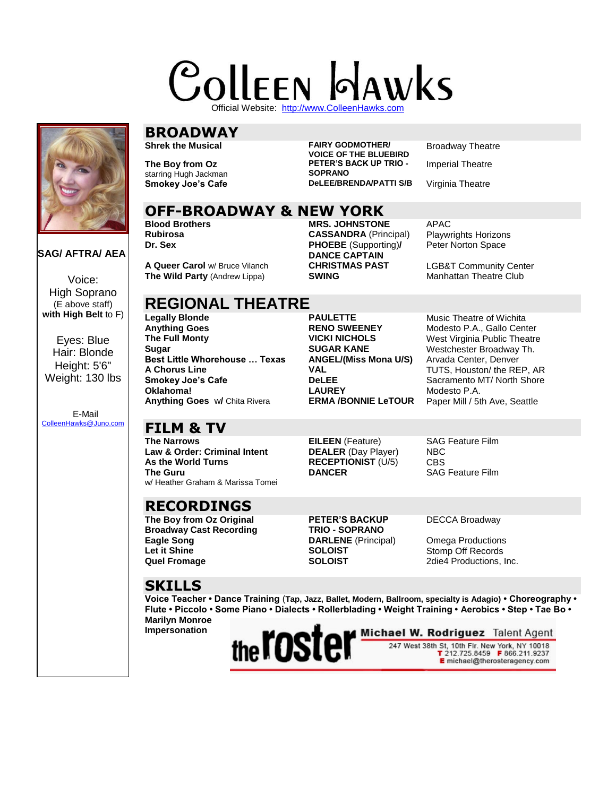# **COLLEEN GAWKS**

Official Website: [http://www.ColleenHawks.com](http://www.colleenhawks.com/)



#### **SAG/ AFTRA/ AEA**

Voice: High Soprano (E above staff) **with High Belt** to F)

Eyes: Blue Hair: Blonde Height: 5'6" Weight: 130 lbs

 E-Mail [ColleenHawks@Juno.com](mailto:ColleenHawks@Juno.com)

# **BROADWAY**

**The Boy from Oz** starring Hugh Jackman

**Shrek the Musical FAIRY GODMOTHER/ VOICE OF THE BLUEBIRD PETER'S BACK UP TRIO - SOPRANO Smokey Joe's Cafe DeLEE/BRENDA/PATTI S/B** Virginia Theatre

> **Dr. Sex PHOEBE** (Supporting)**/ DANCE CAPTAIN**

**OFF-BROADWAY & NEW YORK**

**Blood Brothers MRS. JOHNSTONE** APAC **Rubirosa CASSANDRA** (Principal) Playwrights Horizons

**A Queer Carol** w/ Bruce Vilanch **CHRISTMAS PAST** LGB&T Community Center **The Wild Party** (Andrew Lippa) **CONTING CONTING CONTING CONTING CONTING CONTING CONTING CONTING CONTING CONTING CONTING CONTIN The Wild Party (Andrew Lippa)** 

# **REGIONAL THEATRE**<br>Legally Blonde

**Anything Goes RENO SWEENEY** Modesto P.A., Gallo Center **SUGAR KANE** Westchester Broadway Th.<br>**Best Little Whorehouse ... Texas ANGEL/(Miss Mona U/S)** Arvada Center, Denver **Best Little Whorehouse ... Texas<br>A Chorus Line A Chorus Line VAL** TUTS, Houston/ the REP, AR **Oklahoma! LAUREY** Modesto P.A.<br>**Anything Goes** w/ Chita Rivera **ERMA /BONNIE LeTOUR** Paper Mill / 5t **Anything Goes** w**/** Chita Rivera **ERMA /BONNIE LeTOUR** Paper Mill / 5th Ave, Seattle

**PAULETTE** Music Theatre of Wichita

**THE FULL MONTS WEST VICKI NICHOLS**<br>**THE SUGAR KANE** Westchester Broadway Th **Sacramento MT/ North Shore**<br> **Sacramento MT/ North Shore**<br> **Modesto P.A.** 

# **FILM & TV**

**Law & Order: Criminal Intent DEALER** (Day Player) NBC **The Guru** w/ Heather Graham & Marissa Tomei

# **RECORDINGS**

**The Boy from Oz Original Broadway Cast Recording Eagle Song DARLENE** (Principal) Omega Productions **Let it Shine SOLOIST** SOLOIST Stomp Off Records<br> **SOLOIST** 2die4 Productions,

**The Narrows EILEEN** (Feature) SAG Feature Film **As the World Turns RECEPTIONIST** (U/5) CBS **DANCER** SAG Feature Film

**PETER'S BACKUP TRIO - SOPRANO**

DECCA Broadway

**SOLOIST** 2die4 Productions, Inc.

## **SKILLS**

**Voice Teacher • Dance Training** (**Tap, Jazz, Ballet, Modern, Ballroom, specialty is Adagio) • Choreography • Flute • Piccolo • Some Piano • Dialects • Rollerblading • Weight Training • Aerobics • Step • Tae Bo • Marilyn Monroe** 

**Impersonation**



Broadway Theatre

Imperial Theatre

Peter Norton Space